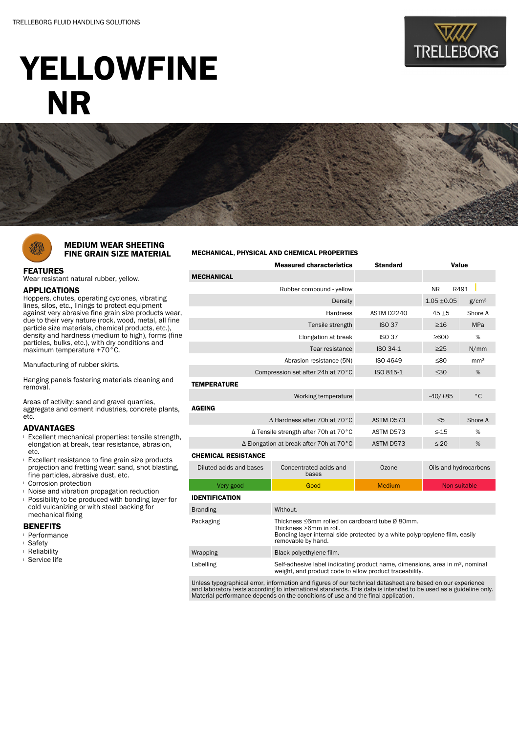

# YELLOWFINE NR



### MEDIUM WEAR SHEETING FINE GRAIN SIZE MATERIAL

## FEATURES

Wear resistant natural rubber, yellow.

#### APPLICATIONS

Hoppers, chutes, operating cyclones, vibrating lines, silos, etc., linings to protect equipment against very abrasive fine grain size products wear, due to their very nature (rock, wood, metal, all fine particle size materials, chemical products, etc.), density and hardness (medium to high), forms (fine particles, bulks, etc.), with dry conditions and maximum temperature +70°C.

Manufacturing of rubber skirts.

Hanging panels fostering materials cleaning and removal.

Areas of activity: sand and gravel quarries, aggregate and cement industries, concrete plants, etc.

#### ADVANTAGES

- <sup>l</sup> Excellent mechanical properties: tensile strength, elongation at break, tear resistance, abrasion, etc.
- <sup>l</sup> Excellent resistance to fine grain size products projection and fretting wear: sand, shot blasting, fine particles, abrasive dust, etc.
- <sup>l</sup> Corrosion protection
- <sup>l</sup> Noise and vibration propagation reduction
- **Possibility to be produced with bonding layer for** cold vulcanizing or with steel backing for mechanical fixing

#### BENEFITS

- <sup>l</sup> Performance
- <sup>l</sup> Safety
- <sup>l</sup> Reliability
- <sup>l</sup> Service life

#### MECHANICAL, PHYSICAL AND CHEMICAL PROPERTIES

|                                                   | <b>Measured characteristics</b>                                                                                                                                                 | <b>Standard</b> | Value                 |                   |  |  |  |  |
|---------------------------------------------------|---------------------------------------------------------------------------------------------------------------------------------------------------------------------------------|-----------------|-----------------------|-------------------|--|--|--|--|
| <b>MECHANICAL</b>                                 |                                                                                                                                                                                 |                 |                       |                   |  |  |  |  |
|                                                   | Rubber compound - yellow                                                                                                                                                        |                 | <b>NR</b><br>R491     |                   |  |  |  |  |
|                                                   | Density                                                                                                                                                                         |                 | $1.05 \pm 0.05$       | g/cm <sup>3</sup> |  |  |  |  |
|                                                   | Hardness                                                                                                                                                                        | ASTM D2240      | $45 + 5$              | Shore A           |  |  |  |  |
| Tensile strength                                  |                                                                                                                                                                                 | <b>ISO 37</b>   | $\geq$ 16             | <b>MPa</b>        |  |  |  |  |
|                                                   | <b>ISO 37</b>                                                                                                                                                                   | %<br>>600       |                       |                   |  |  |  |  |
|                                                   | $ISO 34-1$                                                                                                                                                                      | $\geq$ 25       | N/mm                  |                   |  |  |  |  |
|                                                   | ISO 4649                                                                                                                                                                        | ≤80             | mm <sup>3</sup>       |                   |  |  |  |  |
| Compression set after 24h at 70°C                 | ISO 815-1                                                                                                                                                                       | $\leq 30$       | %                     |                   |  |  |  |  |
| <b>TEMPERATURE</b>                                |                                                                                                                                                                                 |                 |                       |                   |  |  |  |  |
|                                                   | Working temperature                                                                                                                                                             |                 | $-40/ + 85$           | $^{\circ}$ C      |  |  |  |  |
| <b>AGEING</b>                                     |                                                                                                                                                                                 |                 |                       |                   |  |  |  |  |
| $\triangle$ Hardness after 70h at 70 $^{\circ}$ C |                                                                                                                                                                                 | ASTM D573       | $\leq 5$              | Shore A           |  |  |  |  |
| ∆ Tensile strength after 70h at 70°C              |                                                                                                                                                                                 | ASTM D573       | $\leq -15$            | %                 |  |  |  |  |
| ∆ Elongation at break after 70h at 70°C           |                                                                                                                                                                                 | ASTM D573       | $\leq$ -20            | %                 |  |  |  |  |
| <b>CHEMICAL RESISTANCE</b>                        |                                                                                                                                                                                 |                 |                       |                   |  |  |  |  |
| Diluted acids and bases                           | Concentrated acids and<br>bases                                                                                                                                                 | Ozone           | Oils and hydrocarbons |                   |  |  |  |  |
| Very good                                         | Good                                                                                                                                                                            | <b>Medium</b>   | <b>Non suitable</b>   |                   |  |  |  |  |
| <b>IDENTIFICATION</b>                             |                                                                                                                                                                                 |                 |                       |                   |  |  |  |  |
| <b>Branding</b>                                   | Without.                                                                                                                                                                        |                 |                       |                   |  |  |  |  |
| Packaging                                         | Thickness ≤6mm rolled on cardboard tube Ø 80mm.<br>Thickness >6mm in roll.<br>Bonding layer internal side protected by a white polypropylene film, easily<br>removable by hand. |                 |                       |                   |  |  |  |  |
| Wrapping                                          | Black polyethylene film.                                                                                                                                                        |                 |                       |                   |  |  |  |  |
| Labelling                                         | Self-adhesive label indicating product name, dimensions, area in m <sup>2</sup> , nominal<br>weight, and product code to allow product traceability.                            |                 |                       |                   |  |  |  |  |

Unless typographical error, information and figures of our technical datasheet are based on our experience and laboratory tests according to international standards. This data is intended to be used as a guideline only. Material performance depends on the conditions of use and the final application.